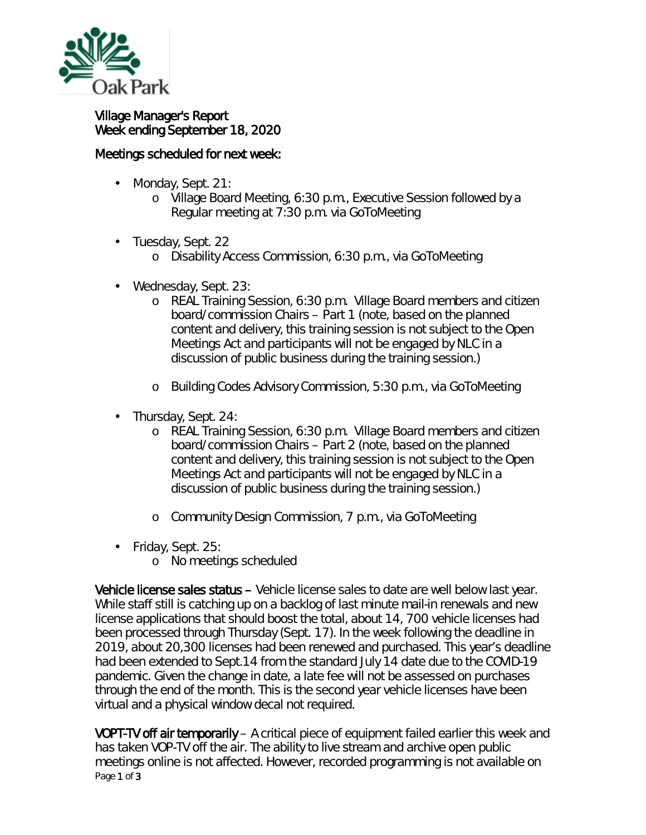

## Village Manager's Report Week ending September 18, 2020

## Meetings scheduled for next week:

- Monday, Sept. 21: ä,
	- o Village Board Meeting, 6:30 p.m., Executive Session followed by a Regular meeting at 7:30 p.m. via GoToMeeting
- Tuesday, Sept. 22
	- o Disability Access Commission, 6:30 p.m., via GoToMeeting
- Wednesday, Sept. 23:
	- o REAL Training Session, 6:30 p.m. Village Board members and citizen board/commission Chairs – Part 1 *(note, based on the planned content and delivery, this training session is not subject to the Open Meetings Act and participants will not be engaged by NLC in a discussion of public business during the training session.)*
	- o Building Codes Advisory Commission, 5:30 p.m., via GoToMeeting
- . Thursday, Sept. 24:
	- o REAL Training Session, 6:30 p.m. Village Board members and citizen board/commission Chairs – Part 2 *(note, based on the planned content and delivery, this training session is not subject to the Open Meetings Act and participants will not be engaged by NLC in a discussion of public business during the training session.)*
	- o Community Design Commission, 7 p.m., via GoToMeeting
- Friday, Sept. 25:
	- o No meetings scheduled

Vehicle license sales status – Vehicle license sales to date are well below last year. While staff still is catching up on a backlog of last minute mail-in renewals and new license applications that should boost the total, about 14, 700 vehicle licenses had been processed through Thursday (Sept. 17). In the week following the deadline in 2019, about 20,300 licenses had been renewed and purchased. This year's deadline had been extended to Sept.14 from the standard July 14 date due to the COVID-19 pandemic. Given the change in date, a late fee will not be assessed on purchases through the end of the month. This is the second year vehicle licenses have been virtual and a physical window decal not required.

Page 1 of 3 VOPT-TV off air temporarily – A critical piece of equipment failed earlier this week and has taken VOP-TV off the air. The ability to live stream and archive open public meetings online is not affected. However, recorded programming is not available on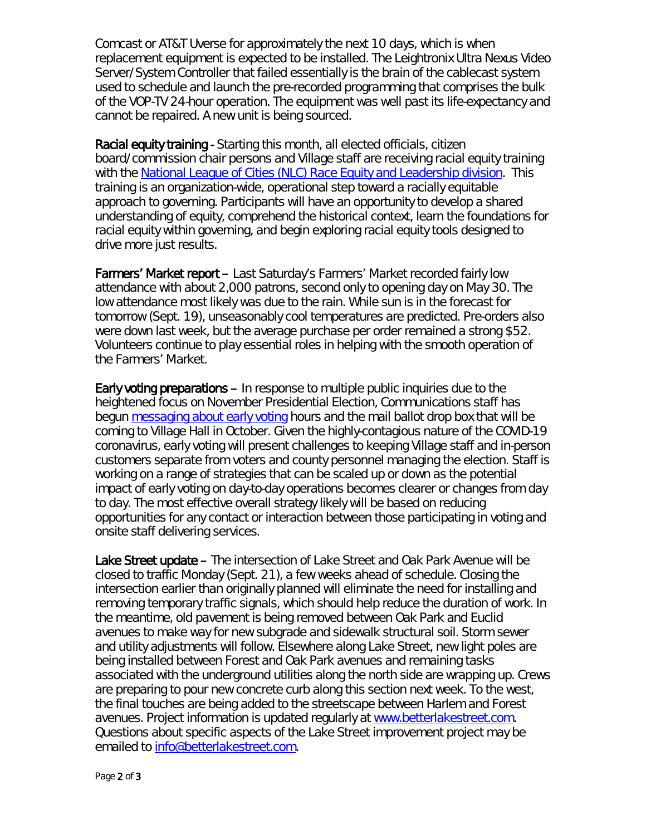Comcast or AT&T Uverse for approximately the next 10 days, which is when replacement equipment is expected to be installed. The Leightronix Ultra Nexus Video Server/System Controller that failed essentially is the brain of the cablecast system used to schedule and launch the pre-recorded programming that comprises the bulk of the VOP-TV 24-hour operation. The equipment was well past its life-expectancy and cannot be repaired. A new unit is being sourced.

Racial equity training - Starting this month, all elected officials, citizen board/commission chair persons and Village staff are receiving racial equity training with the [National League of Cities \(NLC\) Race Equity and Leadership division.](https://www.nlc.org/program-initiative/race-equity-and-leadership-real) This training is an organization-wide, operational step toward a racially equitable approach to governing. Participants will have an opportunity to develop a shared understanding of equity, comprehend the historical context, learn the foundations for racial equity within governing, and begin exploring racial equity tools designed to drive more just results.

Farmers' Market report – Last Saturday's Farmers' Market recorded fairly low attendance with about 2,000 patrons, second only to opening day on May 30. The low attendance most likely was due to the rain. While sun is in the forecast for tomorrow (Sept. 19), unseasonably cool temperatures are predicted. Pre-orders also were down last week, but the average purchase per order remained a strong \$52. Volunteers continue to play essential roles in helping with the smooth operation of the Farmers' Market.

Early voting preparations – In response to multiple public inquiries due to the heightened focus on November Presidential Election, Communications staff has begun [messaging about early voting](https://www.oak-park.us/news/village-hall-host-early-voting-mail-ballot-drop-box-beginning-oct-19) hours and the mail ballot drop box that will be coming to Village Hall in October. Given the highly-contagious nature of the COVID-19 coronavirus, early voting will present challenges to keeping Village staff and in-person customers separate from voters and county personnel managing the election. Staff is working on a range of strategies that can be scaled up or down as the potential impact of early voting on day-to-day operations becomes clearer or changes from day to day. The most effective overall strategy likely will be based on reducing opportunities for any contact or interaction between those participating in voting and onsite staff delivering services.

Lake Street update – The intersection of Lake Street and Oak Park Avenue will be closed to traffic Monday (Sept. 21), a few weeks ahead of schedule. Closing the intersection earlier than originally planned will eliminate the need for installing and removing temporary traffic signals, which should help reduce the duration of work. In the meantime, old pavement is being removed between Oak Park and Euclid avenues to make way for new subgrade and sidewalk structural soil. Storm sewer and utility adjustments will follow. Elsewhere along Lake Street, new light poles are being installed between Forest and Oak Park avenues and remaining tasks associated with the underground utilities along the north side are wrapping up. Crews are preparing to pour new concrete curb along this section next week. To the west, the final touches are being added to the streetscape between Harlem and Forest avenues. Project information is updated regularly at [www.betterlakestreet.com.](http://www.betterlakestreet.com/) Questions about specific aspects of the Lake Street improvement project may be emailed to [info@betterlakestreet.com.](mailto:info@betterlakestreet.com)